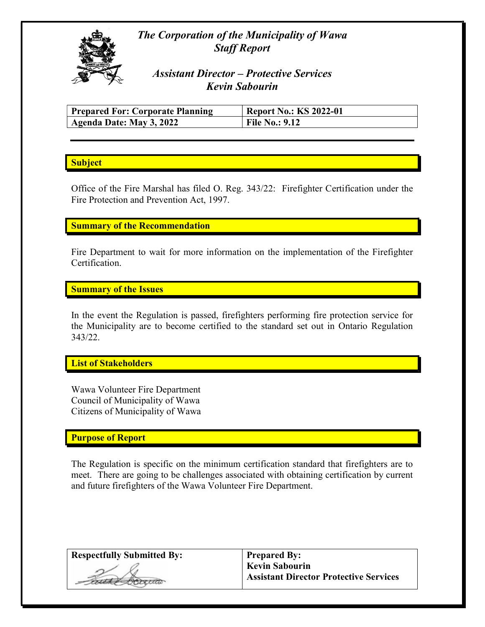# The Corporation of the Municipality of Wawa Staff Report



Assistant Director – Protective Services Kevin Sabourin

| <b>Prepared For: Corporate Planning</b> | <b>Report No.: KS 2022-01</b> |
|-----------------------------------------|-------------------------------|
| Agenda Date: May 3, 2022                | <b>File No.: 9.12</b>         |

## **Subject**

Office of the Fire Marshal has filed O. Reg. 343/22: Firefighter Certification under the Fire Protection and Prevention Act, 1997.

## Summary of the Recommendation

Fire Department to wait for more information on the implementation of the Firefighter Certification.

Summary of the Issues

In the event the Regulation is passed, firefighters performing fire protection service for the Municipality are to become certified to the standard set out in Ontario Regulation 343/22.

List of Stakeholders

Wawa Volunteer Fire Department Council of Municipality of Wawa Citizens of Municipality of Wawa

#### Purpose of Report

The Regulation is specific on the minimum certification standard that firefighters are to meet. There are going to be challenges associated with obtaining certification by current and future firefighters of the Wawa Volunteer Fire Department.

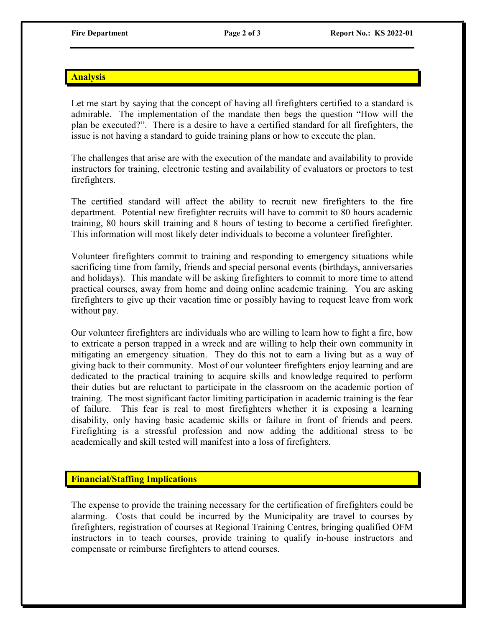#### **Analysis**

Let me start by saying that the concept of having all firefighters certified to a standard is admirable. The implementation of the mandate then begs the question "How will the plan be executed?". There is a desire to have a certified standard for all firefighters, the issue is not having a standard to guide training plans or how to execute the plan.

The challenges that arise are with the execution of the mandate and availability to provide instructors for training, electronic testing and availability of evaluators or proctors to test firefighters.

The certified standard will affect the ability to recruit new firefighters to the fire department. Potential new firefighter recruits will have to commit to 80 hours academic training, 80 hours skill training and 8 hours of testing to become a certified firefighter. This information will most likely deter individuals to become a volunteer firefighter.

Volunteer firefighters commit to training and responding to emergency situations while sacrificing time from family, friends and special personal events (birthdays, anniversaries and holidays). This mandate will be asking firefighters to commit to more time to attend practical courses, away from home and doing online academic training. You are asking firefighters to give up their vacation time or possibly having to request leave from work without pay.

Our volunteer firefighters are individuals who are willing to learn how to fight a fire, how to extricate a person trapped in a wreck and are willing to help their own community in mitigating an emergency situation. They do this not to earn a living but as a way of giving back to their community. Most of our volunteer firefighters enjoy learning and are dedicated to the practical training to acquire skills and knowledge required to perform their duties but are reluctant to participate in the classroom on the academic portion of training. The most significant factor limiting participation in academic training is the fear of failure. This fear is real to most firefighters whether it is exposing a learning disability, only having basic academic skills or failure in front of friends and peers. Firefighting is a stressful profession and now adding the additional stress to be academically and skill tested will manifest into a loss of firefighters.

#### Financial/Staffing Implications

The expense to provide the training necessary for the certification of firefighters could be alarming. Costs that could be incurred by the Municipality are travel to courses by firefighters, registration of courses at Regional Training Centres, bringing qualified OFM instructors in to teach courses, provide training to qualify in-house instructors and compensate or reimburse firefighters to attend courses.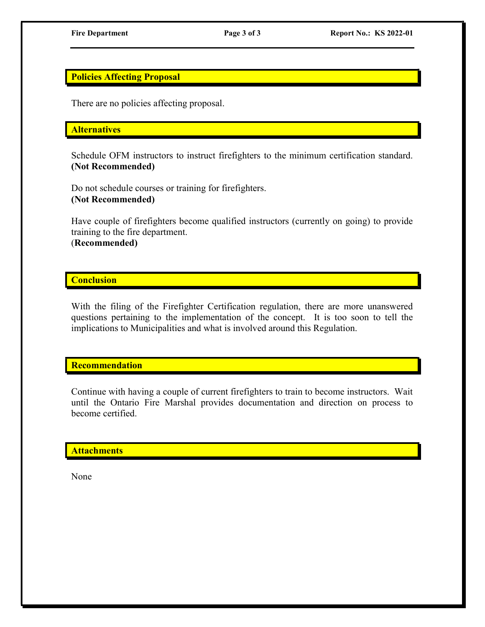## Policies Affecting Proposal

There are no policies affecting proposal.

#### **Alternatives**

Schedule OFM instructors to instruct firefighters to the minimum certification standard. (Not Recommended)

Do not schedule courses or training for firefighters. (Not Recommended)

Have couple of firefighters become qualified instructors (currently on going) to provide training to the fire department. (Recommended)

## **Conclusion**

With the filing of the Firefighter Certification regulation, there are more unanswered questions pertaining to the implementation of the concept. It is too soon to tell the implications to Municipalities and what is involved around this Regulation.

**Recommendation** 

Continue with having a couple of current firefighters to train to become instructors. Wait until the Ontario Fire Marshal provides documentation and direction on process to become certified.

#### **Attachments**

None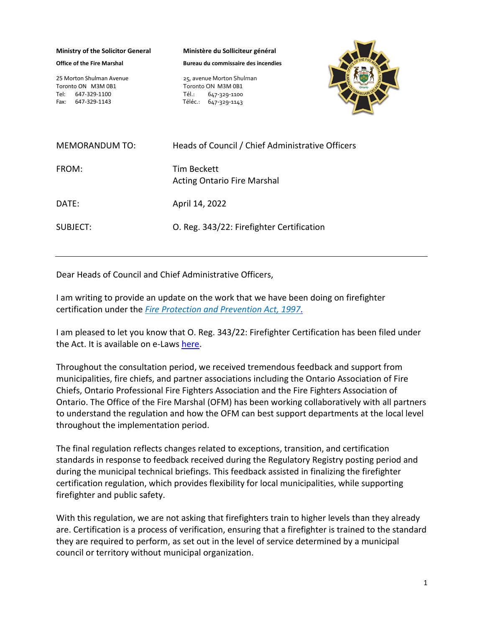**Ministry of the Solicitor General**

**Office of the Fire Marshal** 

25 Morton Shulman Avenue Toronto ON M3M 0B1 Tel: 647-329-1100 Fax: 647-329-1143

**Ministère du Solliciteur général**

**Bureau du commissaire des incendies**

25, avenue Morton Shulman Toronto ON M3M 0B1 Tél.: 647-329-1100 Téléc.: 647-329-1143



| <b>MEMORANDUM TO:</b> | Heads of Council / Chief Administrative Officers  |
|-----------------------|---------------------------------------------------|
| FROM:                 | Tim Beckett<br><b>Acting Ontario Fire Marshal</b> |
| DATE:                 | April 14, 2022                                    |
| SUBJECT:              | O. Reg. 343/22: Firefighter Certification         |

Dear Heads of Council and Chief Administrative Officers,

I am writing to provide an update on the work that we have been doing on firefighter certification under the *[Fire Protection and Prevention](https://www.ontario.ca/laws/statute/97f04) Act, 1997*.

I am pleased to let you know that O. Reg. 343/22: Firefighter Certification has been filed under the Act. It is available on e-Laws [here.](https://www.ontario.ca/laws/regulation/r22343?search=343%2F22)

Throughout the consultation period, we received tremendous feedback and support from municipalities, fire chiefs, and partner associations including the Ontario Association of Fire Chiefs, Ontario Professional Fire Fighters Association and the Fire Fighters Association of Ontario. The Office of the Fire Marshal (OFM) has been working collaboratively with all partners to understand the regulation and how the OFM can best support departments at the local level throughout the implementation period.

The final regulation reflects changes related to exceptions, transition, and certification standards in response to feedback received during the Regulatory Registry posting period and during the municipal technical briefings. This feedback assisted in finalizing the firefighter certification regulation, which provides flexibility for local municipalities, while supporting firefighter and public safety.

With this regulation, we are not asking that firefighters train to higher levels than they already are. Certification is a process of verification, ensuring that a firefighter is trained to the standard they are required to perform, as set out in the level of service determined by a municipal council or territory without municipal organization.